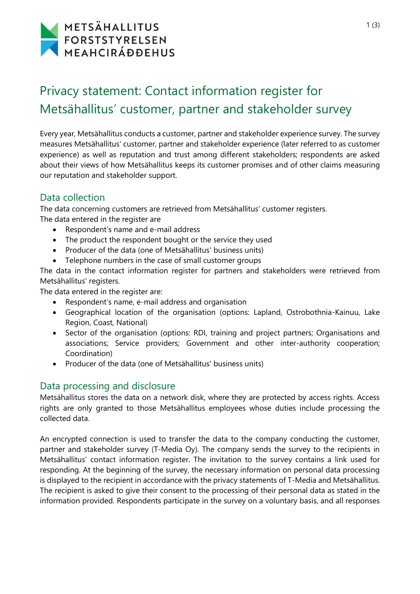# METSÄHALLITUS FORSTSTYRELSEN

# Privacy statement: Contact information register for Metsähallitus' customer, partner and stakeholder survey

Every year, Metsähallitus conducts a customer, partner and stakeholder experience survey. The survey measures Metsähallitus' customer, partner and stakeholder experience (later referred to as customer experience) as well as reputation and trust among different stakeholders; respondents are asked about their views of how Metsähallitus keeps its customer promises and of other claims measuring our reputation and stakeholder support.

## Data collection

The data concerning customers are retrieved from Metsähallitus' customer registers.

The data entered in the register are

- Respondent's name and e-mail address
- The product the respondent bought or the service they used
- Producer of the data (one of Metsähallitus' business units)
- Telephone numbers in the case of small customer groups

The data in the contact information register for partners and stakeholders were retrieved from Metsähallitus' registers.

The data entered in the register are:

- Respondent's name, e-mail address and organisation
- Geographical location of the organisation (options: Lapland, Ostrobothnia-Kainuu, Lake Region, Coast, National)
- Sector of the organisation (options: RDI, training and project partners; Organisations and associations; Service providers; Government and other inter-authority cooperation; Coordination)
- Producer of the data (one of Metsähallitus' business units)

## Data processing and disclosure

Metsähallitus stores the data on a network disk, where they are protected by access rights. Access rights are only granted to those Metsähallitus employees whose duties include processing the collected data.

An encrypted connection is used to transfer the data to the company conducting the customer, partner and stakeholder survey (T-Media Oy). The company sends the survey to the recipients in Metsähallitus' contact information register. The invitation to the survey contains a link used for responding. At the beginning of the survey, the necessary information on personal data processing is displayed to the recipient in accordance with the privacy statements of T-Media and Metsähallitus. The recipient is asked to give their consent to the processing of their personal data as stated in the information provided. Respondents participate in the survey on a voluntary basis, and all responses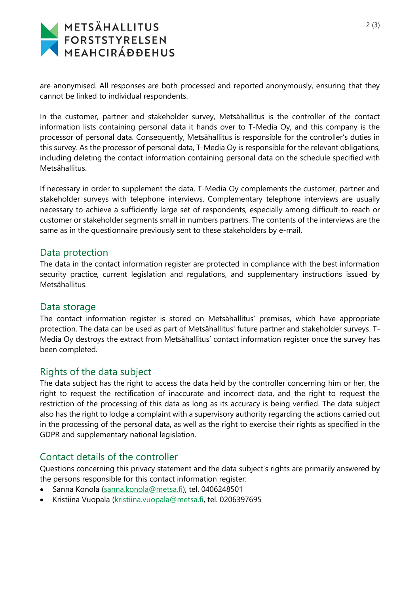# METSÄHALLITUS FORSTSTYRELSEN<br>MEAHCIRÁÐÐEHUS

are anonymised. All responses are both processed and reported anonymously, ensuring that they cannot be linked to individual respondents.

In the customer, partner and stakeholder survey, Metsähallitus is the controller of the contact information lists containing personal data it hands over to T-Media Oy, and this company is the processor of personal data. Consequently, Metsähallitus is responsible for the controller's duties in this survey. As the processor of personal data, T-Media Oy is responsible for the relevant obligations, including deleting the contact information containing personal data on the schedule specified with Metsähallitus.

If necessary in order to supplement the data, T-Media Oy complements the customer, partner and stakeholder surveys with telephone interviews. Complementary telephone interviews are usually necessary to achieve a sufficiently large set of respondents, especially among difficult-to-reach or customer or stakeholder segments small in numbers partners. The contents of the interviews are the same as in the questionnaire previously sent to these stakeholders by e-mail.

#### Data protection

The data in the contact information register are protected in compliance with the best information security practice, current legislation and regulations, and supplementary instructions issued by Metsähallitus.

#### Data storage

The contact information register is stored on Metsähallitus' premises, which have appropriate protection. The data can be used as part of Metsähallitus' future partner and stakeholder surveys. T-Media Oy destroys the extract from Metsähallitus' contact information register once the survey has been completed.

### Rights of the data subject

The data subject has the right to access the data held by the controller concerning him or her, the right to request the rectification of inaccurate and incorrect data, and the right to request the restriction of the processing of this data as long as its accuracy is being verified. The data subject also has the right to lodge a complaint with a supervisory authority regarding the actions carried out in the processing of the personal data, as well as the right to exercise their rights as specified in the GDPR and supplementary national legislation.

## Contact details of the controller

Questions concerning this privacy statement and the data subject's rights are primarily answered by the persons responsible for this contact information register:

- Sanna Konola [\(sanna.konola@metsa.fi\)](mailto:sanna.konola@metsa.fi), tel. 0406248501
- Kristiina Vuopala [\(kristiina.vuopala@metsa.fi,](mailto:kristiina.vuopala@metsa.fi) tel. 0206397695